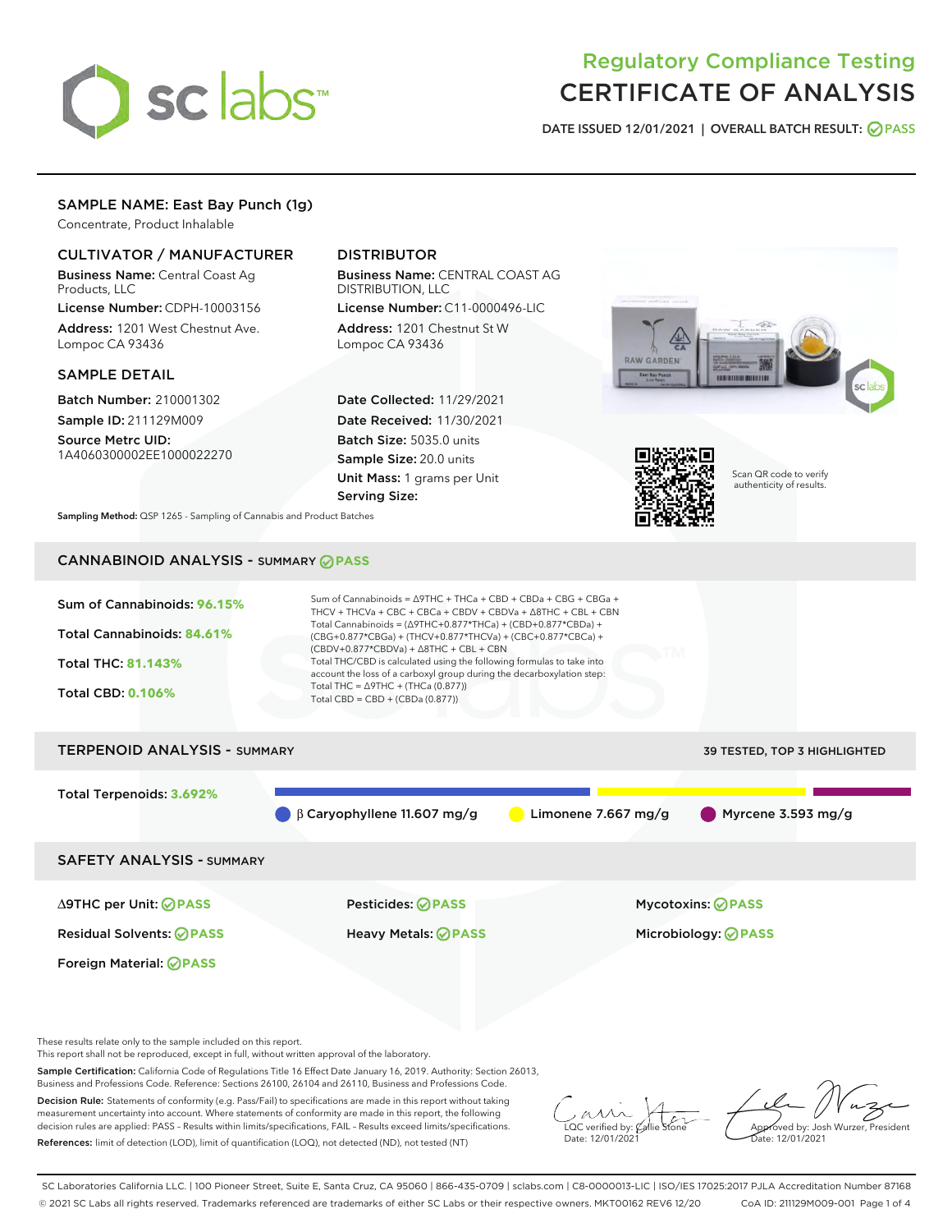

# Regulatory Compliance Testing CERTIFICATE OF ANALYSIS

DATE ISSUED 12/01/2021 | OVERALL BATCH RESULT: @ PASS

# SAMPLE NAME: East Bay Punch (1g)

Concentrate, Product Inhalable

# CULTIVATOR / MANUFACTURER

Business Name: Central Coast Ag Products, LLC

License Number: CDPH-10003156 Address: 1201 West Chestnut Ave. Lompoc CA 93436

### SAMPLE DETAIL

Batch Number: 210001302 Sample ID: 211129M009

Source Metrc UID: 1A4060300002EE1000022270

# DISTRIBUTOR

Business Name: CENTRAL COAST AG DISTRIBUTION, LLC

License Number: C11-0000496-LIC Address: 1201 Chestnut St W Lompoc CA 93436

Date Collected: 11/29/2021 Date Received: 11/30/2021 Batch Size: 5035.0 units Sample Size: 20.0 units Unit Mass: 1 grams per Unit Serving Size:





Scan QR code to verify authenticity of results.

Sampling Method: QSP 1265 - Sampling of Cannabis and Product Batches

# CANNABINOID ANALYSIS - SUMMARY **PASS**



These results relate only to the sample included on this report.

This report shall not be reproduced, except in full, without written approval of the laboratory.

Sample Certification: California Code of Regulations Title 16 Effect Date January 16, 2019. Authority: Section 26013, Business and Professions Code. Reference: Sections 26100, 26104 and 26110, Business and Professions Code.

Decision Rule: Statements of conformity (e.g. Pass/Fail) to specifications are made in this report without taking measurement uncertainty into account. Where statements of conformity are made in this report, the following decision rules are applied: PASS – Results within limits/specifications, FAIL – Results exceed limits/specifications. References: limit of detection (LOD), limit of quantification (LOQ), not detected (ND), not tested (NT)

 $\overline{\text{C}}$  verified by:  $\mathcal C$ Date: 12/01/2021

Aved by: Josh Wurzer, President Date: 12/01/2021

SC Laboratories California LLC. | 100 Pioneer Street, Suite E, Santa Cruz, CA 95060 | 866-435-0709 | sclabs.com | C8-0000013-LIC | ISO/IES 17025:2017 PJLA Accreditation Number 87168 © 2021 SC Labs all rights reserved. Trademarks referenced are trademarks of either SC Labs or their respective owners. MKT00162 REV6 12/20 CoA ID: 211129M009-001 Page 1 of 4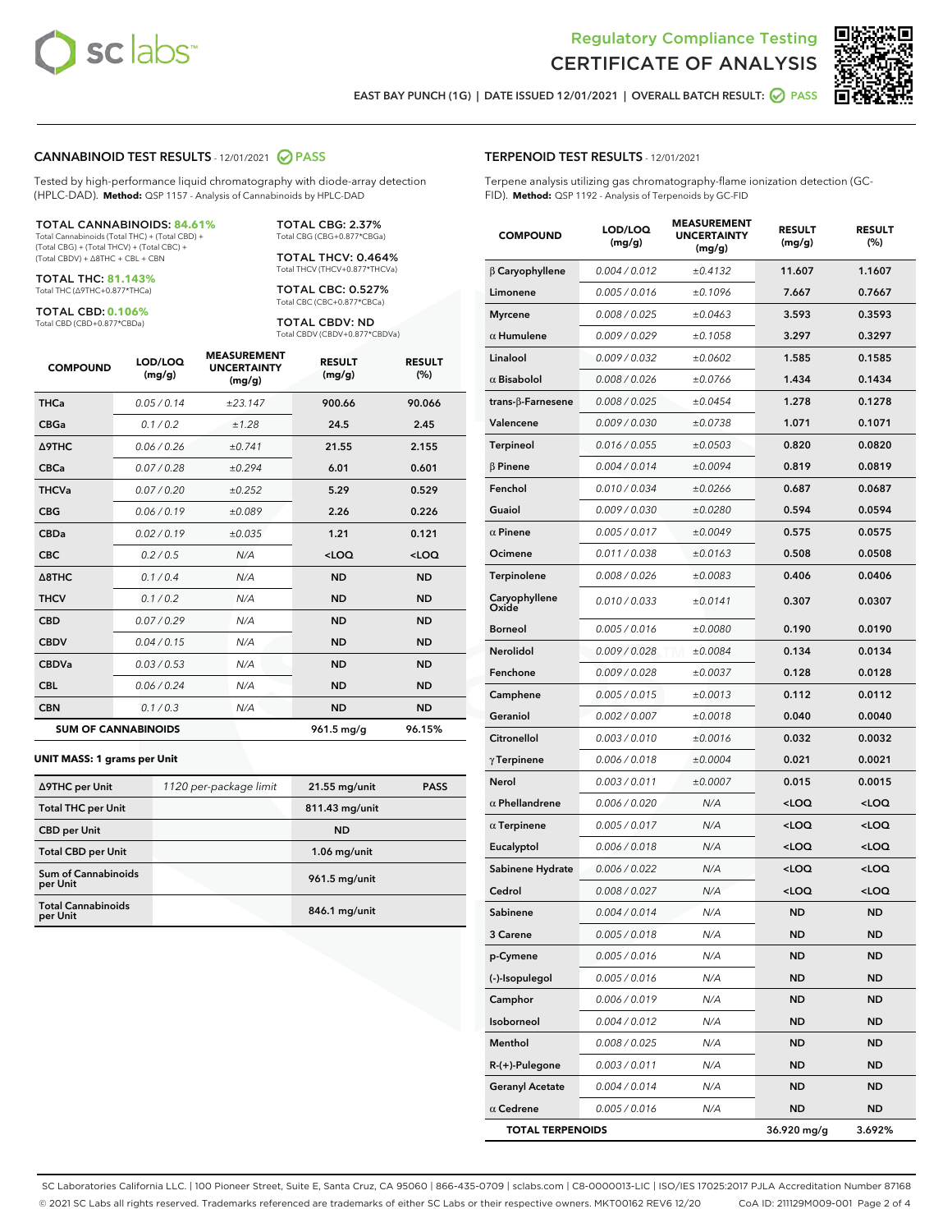



EAST BAY PUNCH (1G) | DATE ISSUED 12/01/2021 | OVERALL BATCH RESULT:  $\bigcirc$  PASS

# CANNABINOID TEST RESULTS - 12/01/2021 2 PASS

Tested by high-performance liquid chromatography with diode-array detection (HPLC-DAD). **Method:** QSP 1157 - Analysis of Cannabinoids by HPLC-DAD

#### TOTAL CANNABINOIDS: **84.61%**

Total Cannabinoids (Total THC) + (Total CBD) + (Total CBG) + (Total THCV) + (Total CBC) + (Total CBDV) + ∆8THC + CBL + CBN

TOTAL THC: **81.143%** Total THC (∆9THC+0.877\*THCa)

TOTAL CBD: **0.106%**

Total CBD (CBD+0.877\*CBDa)

TOTAL CBG: 2.37% Total CBG (CBG+0.877\*CBGa)

TOTAL THCV: 0.464% Total THCV (THCV+0.877\*THCVa)

TOTAL CBC: 0.527% Total CBC (CBC+0.877\*CBCa)

TOTAL CBDV: ND Total CBDV (CBDV+0.877\*CBDVa)

| <b>COMPOUND</b>            | LOD/LOQ<br>(mg/g) | <b>MEASUREMENT</b><br><b>UNCERTAINTY</b><br>(mg/g) | <b>RESULT</b><br>(mg/g) | <b>RESULT</b><br>(%) |
|----------------------------|-------------------|----------------------------------------------------|-------------------------|----------------------|
| <b>THCa</b>                | 0.05/0.14         | ±23.147                                            | 900.66                  | 90.066               |
| <b>CBGa</b>                | 0.1/0.2           | ±1.28                                              | 24.5                    | 2.45                 |
| <b>A9THC</b>               | 0.06 / 0.26       | ±0.741                                             | 21.55                   | 2.155                |
| <b>CBCa</b>                | 0.07 / 0.28       | ±0.294                                             | 6.01                    | 0.601                |
| <b>THCVa</b>               | 0.07/0.20         | ±0.252                                             | 5.29                    | 0.529                |
| <b>CBG</b>                 | 0.06/0.19         | ±0.089                                             | 2.26                    | 0.226                |
| <b>CBDa</b>                | 0.02/0.19         | ±0.035                                             | 1.21                    | 0.121                |
| <b>CBC</b>                 | 0.2 / 0.5         | N/A                                                | $<$ LOQ                 | $<$ LOQ              |
| A8THC                      | 0.1 / 0.4         | N/A                                                | <b>ND</b>               | <b>ND</b>            |
| <b>THCV</b>                | 0.1 / 0.2         | N/A                                                | <b>ND</b>               | <b>ND</b>            |
| <b>CBD</b>                 | 0.07/0.29         | N/A                                                | <b>ND</b>               | <b>ND</b>            |
| <b>CBDV</b>                | 0.04 / 0.15       | N/A                                                | <b>ND</b>               | <b>ND</b>            |
| <b>CBDVa</b>               | 0.03 / 0.53       | N/A                                                | <b>ND</b>               | <b>ND</b>            |
| <b>CBL</b>                 | 0.06 / 0.24       | N/A                                                | <b>ND</b>               | <b>ND</b>            |
| <b>CBN</b>                 | 0.1/0.3           | N/A                                                | <b>ND</b>               | <b>ND</b>            |
| <b>SUM OF CANNABINOIDS</b> |                   |                                                    | 961.5 mg/g              | 96.15%               |

#### **UNIT MASS: 1 grams per Unit**

| ∆9THC per Unit                         | 1120 per-package limit | 21.55 mg/unit  | <b>PASS</b> |
|----------------------------------------|------------------------|----------------|-------------|
| <b>Total THC per Unit</b>              |                        | 811.43 mg/unit |             |
| <b>CBD</b> per Unit                    |                        | <b>ND</b>      |             |
| <b>Total CBD per Unit</b>              |                        | $1.06$ mg/unit |             |
| <b>Sum of Cannabinoids</b><br>per Unit |                        | 961.5 mg/unit  |             |
| <b>Total Cannabinoids</b><br>per Unit  |                        | 846.1 mg/unit  |             |

### TERPENOID TEST RESULTS - 12/01/2021

Terpene analysis utilizing gas chromatography-flame ionization detection (GC-FID). **Method:** QSP 1192 - Analysis of Terpenoids by GC-FID

| <b>COMPOUND</b>         | LOD/LOQ<br>(mg/g) | <b>MEASUREMENT</b><br><b>UNCERTAINTY</b><br>(mg/g) | <b>RESULT</b><br>(mg/g)                          | <b>RESULT</b><br>(%) |
|-------------------------|-------------------|----------------------------------------------------|--------------------------------------------------|----------------------|
| $\beta$ Caryophyllene   | 0.004 / 0.012     | ±0.4132                                            | 11.607                                           | 1.1607               |
| Limonene                | 0.005 / 0.016     | ±0.1096                                            | 7.667                                            | 0.7667               |
| <b>Myrcene</b>          | 0.008 / 0.025     | ±0.0463                                            | 3.593                                            | 0.3593               |
| $\alpha$ Humulene       | 0.009/0.029       | ±0.1058                                            | 3.297                                            | 0.3297               |
| Linalool                | 0.009 / 0.032     | ±0.0602                                            | 1.585                                            | 0.1585               |
| $\alpha$ Bisabolol      | 0.008 / 0.026     | ±0.0766                                            | 1.434                                            | 0.1434               |
| trans-ß-Farnesene       | 0.008 / 0.025     | ±0.0454                                            | 1.278                                            | 0.1278               |
| Valencene               | 0.009 / 0.030     | ±0.0738                                            | 1.071                                            | 0.1071               |
| Terpineol               | 0.016 / 0.055     | ±0.0503                                            | 0.820                                            | 0.0820               |
| $\beta$ Pinene          | 0.004 / 0.014     | ±0.0094                                            | 0.819                                            | 0.0819               |
| Fenchol                 | 0.010 / 0.034     | ±0.0266                                            | 0.687                                            | 0.0687               |
| Guaiol                  | 0.009 / 0.030     | ±0.0280                                            | 0.594                                            | 0.0594               |
| $\alpha$ Pinene         | 0.005 / 0.017     | ±0.0049                                            | 0.575                                            | 0.0575               |
| Ocimene                 | 0.011 / 0.038     | ±0.0163                                            | 0.508                                            | 0.0508               |
| Terpinolene             | 0.008 / 0.026     | ±0.0083                                            | 0.406                                            | 0.0406               |
| Caryophyllene<br>Oxide  | 0.010 / 0.033     | ±0.0141                                            | 0.307                                            | 0.0307               |
| <b>Borneol</b>          | 0.005 / 0.016     | ±0.0080                                            | 0.190                                            | 0.0190               |
| Nerolidol               | 0.009 / 0.028     | ±0.0084                                            | 0.134                                            | 0.0134               |
| Fenchone                | 0.009 / 0.028     | ±0.0037                                            | 0.128                                            | 0.0128               |
| Camphene                | 0.005 / 0.015     | ±0.0013                                            | 0.112                                            | 0.0112               |
| Geraniol                | 0.002 / 0.007     | ±0.0018                                            | 0.040                                            | 0.0040               |
| Citronellol             | 0.003 / 0.010     | ±0.0016                                            | 0.032                                            | 0.0032               |
| $\gamma$ Terpinene      | 0.006 / 0.018     | ±0.0004                                            | 0.021                                            | 0.0021               |
| Nerol                   | 0.003 / 0.011     | ±0.0007                                            | 0.015                                            | 0.0015               |
| $\alpha$ Phellandrene   | 0.006 / 0.020     | N/A                                                | <loq< th=""><th><loq< th=""></loq<></th></loq<>  | <loq< th=""></loq<>  |
| $\alpha$ Terpinene      | 0.005 / 0.017     | N/A                                                | <loq< th=""><th><loq< th=""></loq<></th></loq<>  | <loq< th=""></loq<>  |
| Eucalyptol              | 0.006 / 0.018     | N/A                                                | <loq< th=""><th><math>&lt;</math>LOQ</th></loq<> | $<$ LOQ              |
| Sabinene Hydrate        | 0.006 / 0.022     | N/A                                                | <loq< th=""><th><loq< th=""></loq<></th></loq<>  | <loq< th=""></loq<>  |
| Cedrol                  | 0.008 / 0.027     | N/A                                                | <loq< th=""><th><loq< th=""></loq<></th></loq<>  | <loq< th=""></loq<>  |
| Sabinene                | 0.004 / 0.014     | N/A                                                | ND                                               | ND                   |
| 3 Carene                | 0.005 / 0.018     | N/A                                                | ND                                               | ND                   |
| p-Cymene                | 0.005 / 0.016     | N/A                                                | <b>ND</b>                                        | <b>ND</b>            |
| (-)-Isopulegol          | 0.005 / 0.016     | N/A                                                | <b>ND</b>                                        | ND                   |
| Camphor                 | 0.006 / 0.019     | N/A                                                | ND                                               | ND                   |
| Isoborneol              | 0.004 / 0.012     | N/A                                                | ND                                               | ND                   |
| Menthol                 | 0.008 / 0.025     | N/A                                                | <b>ND</b>                                        | ND                   |
| $R-(+)$ -Pulegone       | 0.003 / 0.011     | N/A                                                | ND                                               | ND                   |
| <b>Geranyl Acetate</b>  | 0.004 / 0.014     | N/A                                                | <b>ND</b>                                        | ND                   |
| $\alpha$ Cedrene        | 0.005 / 0.016     | N/A                                                | <b>ND</b>                                        | ND                   |
| <b>TOTAL TERPENOIDS</b> |                   |                                                    | 36.920 mg/g                                      | 3.692%               |

SC Laboratories California LLC. | 100 Pioneer Street, Suite E, Santa Cruz, CA 95060 | 866-435-0709 | sclabs.com | C8-0000013-LIC | ISO/IES 17025:2017 PJLA Accreditation Number 87168 © 2021 SC Labs all rights reserved. Trademarks referenced are trademarks of either SC Labs or their respective owners. MKT00162 REV6 12/20 CoA ID: 211129M009-001 Page 2 of 4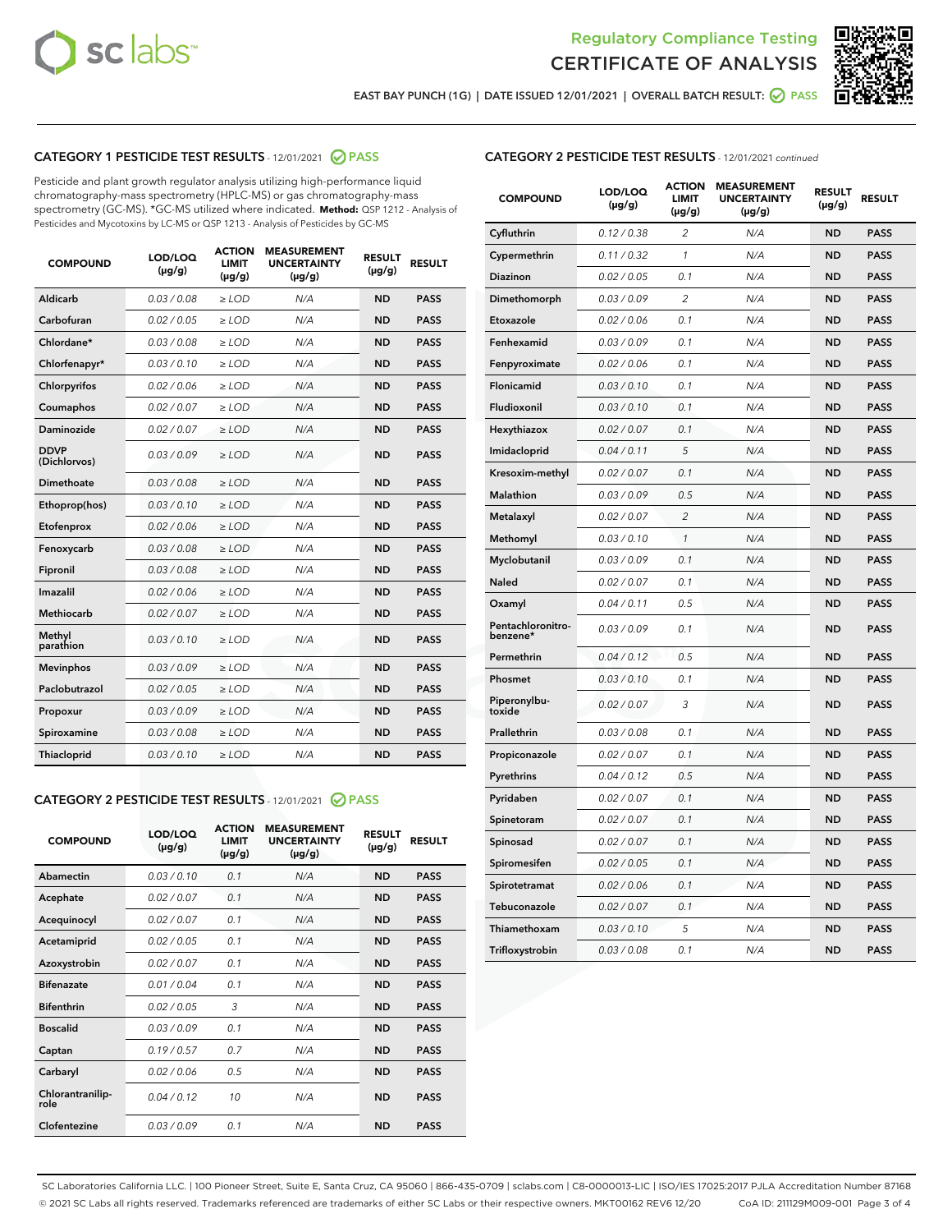



EAST BAY PUNCH (1G) | DATE ISSUED 12/01/2021 | OVERALL BATCH RESULT:  $\bigcirc$  PASS

# CATEGORY 1 PESTICIDE TEST RESULTS - 12/01/2021 2 PASS

Pesticide and plant growth regulator analysis utilizing high-performance liquid chromatography-mass spectrometry (HPLC-MS) or gas chromatography-mass spectrometry (GC-MS). \*GC-MS utilized where indicated. **Method:** QSP 1212 - Analysis of Pesticides and Mycotoxins by LC-MS or QSP 1213 - Analysis of Pesticides by GC-MS

| <b>COMPOUND</b>             | LOD/LOQ<br>$(\mu g/g)$ | <b>ACTION</b><br><b>LIMIT</b><br>$(\mu g/g)$ | <b>MEASUREMENT</b><br><b>UNCERTAINTY</b><br>$(\mu g/g)$ | <b>RESULT</b><br>$(\mu g/g)$ | <b>RESULT</b> |
|-----------------------------|------------------------|----------------------------------------------|---------------------------------------------------------|------------------------------|---------------|
| Aldicarb                    | 0.03 / 0.08            | $\geq$ LOD                                   | N/A                                                     | <b>ND</b>                    | <b>PASS</b>   |
| Carbofuran                  | 0.02/0.05              | $>$ LOD                                      | N/A                                                     | <b>ND</b>                    | <b>PASS</b>   |
| Chlordane*                  | 0.03 / 0.08            | ≥ LOD                                        | N/A                                                     | <b>ND</b>                    | <b>PASS</b>   |
| Chlorfenapyr*               | 0.03/0.10              | $\ge$ LOD                                    | N/A                                                     | <b>ND</b>                    | <b>PASS</b>   |
| Chlorpyrifos                | 0.02 / 0.06            | $\geq$ LOD                                   | N/A                                                     | <b>ND</b>                    | <b>PASS</b>   |
| Coumaphos                   | 0.02 / 0.07            | $>$ LOD                                      | N/A                                                     | <b>ND</b>                    | <b>PASS</b>   |
| Daminozide                  | 0.02 / 0.07            | $\geq$ LOD                                   | N/A                                                     | <b>ND</b>                    | <b>PASS</b>   |
| <b>DDVP</b><br>(Dichlorvos) | 0.03/0.09              | $\geq$ LOD                                   | N/A                                                     | <b>ND</b>                    | <b>PASS</b>   |
| <b>Dimethoate</b>           | 0.03 / 0.08            | $\ge$ LOD                                    | N/A                                                     | <b>ND</b>                    | <b>PASS</b>   |
| Ethoprop(hos)               | 0.03/0.10              | $>$ LOD                                      | N/A                                                     | <b>ND</b>                    | <b>PASS</b>   |
| Etofenprox                  | 0.02 / 0.06            | $\geq$ LOD                                   | N/A                                                     | <b>ND</b>                    | <b>PASS</b>   |
| Fenoxycarb                  | 0.03 / 0.08            | $>$ LOD                                      | N/A                                                     | <b>ND</b>                    | <b>PASS</b>   |
| Fipronil                    | 0.03 / 0.08            | $\geq$ LOD                                   | N/A                                                     | <b>ND</b>                    | <b>PASS</b>   |
| Imazalil                    | 0.02 / 0.06            | $\geq$ LOD                                   | N/A                                                     | <b>ND</b>                    | <b>PASS</b>   |
| <b>Methiocarb</b>           | 0.02 / 0.07            | ≥ LOD                                        | N/A                                                     | <b>ND</b>                    | <b>PASS</b>   |
| Methyl<br>parathion         | 0.03/0.10              | $>$ LOD                                      | N/A                                                     | <b>ND</b>                    | <b>PASS</b>   |
| <b>Mevinphos</b>            | 0.03/0.09              | $>$ LOD                                      | N/A                                                     | <b>ND</b>                    | <b>PASS</b>   |
| Paclobutrazol               | 0.02 / 0.05            | $\geq$ LOD                                   | N/A                                                     | <b>ND</b>                    | <b>PASS</b>   |
| Propoxur                    | 0.03/0.09              | ≥ LOD                                        | N/A                                                     | <b>ND</b>                    | <b>PASS</b>   |
| Spiroxamine                 | 0.03 / 0.08            | $\ge$ LOD                                    | N/A                                                     | <b>ND</b>                    | <b>PASS</b>   |
| <b>Thiacloprid</b>          | 0.03/0.10              | $\geq$ LOD                                   | N/A                                                     | <b>ND</b>                    | <b>PASS</b>   |
|                             |                        |                                              |                                                         |                              |               |

# CATEGORY 2 PESTICIDE TEST RESULTS - 12/01/2021 @ PASS

| <b>COMPOUND</b>          | LOD/LOO<br>$(\mu g/g)$ | <b>ACTION</b><br>LIMIT<br>$(\mu g/g)$ | <b>MEASUREMENT</b><br><b>UNCERTAINTY</b><br>$(\mu g/g)$ | <b>RESULT</b><br>$(\mu g/g)$ | <b>RESULT</b> |  |
|--------------------------|------------------------|---------------------------------------|---------------------------------------------------------|------------------------------|---------------|--|
| Abamectin                | 0.03/0.10              | 0.1                                   | N/A                                                     | <b>ND</b>                    | <b>PASS</b>   |  |
| Acephate                 | 0.02/0.07              | 0.1                                   | N/A                                                     | <b>ND</b>                    | <b>PASS</b>   |  |
| Acequinocyl              | 0.02/0.07              | 0.1                                   | N/A                                                     | <b>ND</b>                    | <b>PASS</b>   |  |
| Acetamiprid              | 0.02/0.05              | 0.1                                   | N/A                                                     | <b>ND</b>                    | <b>PASS</b>   |  |
| Azoxystrobin             | 0.02/0.07              | 0.1                                   | N/A                                                     | <b>ND</b>                    | <b>PASS</b>   |  |
| <b>Bifenazate</b>        | 0.01/0.04              | 0.1                                   | N/A                                                     | <b>ND</b>                    | <b>PASS</b>   |  |
| <b>Bifenthrin</b>        | 0.02/0.05              | 3                                     | N/A                                                     | <b>ND</b>                    | <b>PASS</b>   |  |
| <b>Boscalid</b>          | 0.03/0.09              | 0.1                                   | N/A                                                     | <b>ND</b>                    | <b>PASS</b>   |  |
| Captan                   | 0.19/0.57              | 0.7                                   | N/A                                                     | <b>ND</b>                    | <b>PASS</b>   |  |
| Carbaryl                 | 0.02/0.06              | 0.5                                   | N/A                                                     | <b>ND</b>                    | <b>PASS</b>   |  |
| Chlorantranilip-<br>role | 0.04/0.12              | 10                                    | N/A                                                     | <b>ND</b>                    | <b>PASS</b>   |  |
| Clofentezine             | 0.03/0.09              | 0.1                                   | N/A                                                     | <b>ND</b>                    | <b>PASS</b>   |  |

# CATEGORY 2 PESTICIDE TEST RESULTS - 12/01/2021 continued

| <b>COMPOUND</b>               | LOD/LOQ<br>$(\mu g/g)$ | <b>ACTION</b><br>LIMIT<br>(µg/g) | <b>MEASUREMENT</b><br><b>UNCERTAINTY</b><br>$(\mu g/g)$ | <b>RESULT</b><br>(µg/g) | <b>RESULT</b> |
|-------------------------------|------------------------|----------------------------------|---------------------------------------------------------|-------------------------|---------------|
| Cyfluthrin                    | 0.12 / 0.38            | $\overline{2}$                   | N/A                                                     | <b>ND</b>               | <b>PASS</b>   |
| Cypermethrin                  | 0.11 / 0.32            | 1                                | N/A                                                     | ND                      | <b>PASS</b>   |
| Diazinon                      | 0.02 / 0.05            | 0.1                              | N/A                                                     | <b>ND</b>               | <b>PASS</b>   |
| Dimethomorph                  | 0.03 / 0.09            | $\overline{\mathcal{L}}$         | N/A                                                     | ND                      | <b>PASS</b>   |
| Etoxazole                     | 0.02 / 0.06            | 0.1                              | N/A                                                     | <b>ND</b>               | <b>PASS</b>   |
| Fenhexamid                    | 0.03 / 0.09            | 0.1                              | N/A                                                     | <b>ND</b>               | <b>PASS</b>   |
| Fenpyroximate                 | 0.02 / 0.06            | 0.1                              | N/A                                                     | <b>ND</b>               | <b>PASS</b>   |
| Flonicamid                    | 0.03 / 0.10            | 0.1                              | N/A                                                     | <b>ND</b>               | <b>PASS</b>   |
| Fludioxonil                   | 0.03 / 0.10            | 0.1                              | N/A                                                     | ND                      | <b>PASS</b>   |
| Hexythiazox                   | 0.02 / 0.07            | 0.1                              | N/A                                                     | <b>ND</b>               | <b>PASS</b>   |
| Imidacloprid                  | 0.04 / 0.11            | 5                                | N/A                                                     | <b>ND</b>               | <b>PASS</b>   |
| Kresoxim-methyl               | 0.02 / 0.07            | 0.1                              | N/A                                                     | <b>ND</b>               | <b>PASS</b>   |
| Malathion                     | 0.03 / 0.09            | 0.5                              | N/A                                                     | ND                      | <b>PASS</b>   |
| Metalaxyl                     | 0.02 / 0.07            | $\overline{c}$                   | N/A                                                     | ND                      | <b>PASS</b>   |
| Methomyl                      | 0.03 / 0.10            | $\mathbf{1}$                     | N/A                                                     | <b>ND</b>               | <b>PASS</b>   |
| Myclobutanil                  | 0.03 / 0.09            | 0.1                              | N/A                                                     | <b>ND</b>               | <b>PASS</b>   |
| Naled                         | 0.02 / 0.07            | 0.1                              | N/A                                                     | ND                      | <b>PASS</b>   |
| Oxamyl                        | 0.04 / 0.11            | 0.5                              | N/A                                                     | ND                      | <b>PASS</b>   |
| Pentachloronitro-<br>benzene* | 0.03 / 0.09            | 0.1                              | N/A                                                     | ND                      | <b>PASS</b>   |
| Permethrin                    | 0.04 / 0.12            | 0.5                              | N/A                                                     | <b>ND</b>               | <b>PASS</b>   |
| Phosmet                       | 0.03 / 0.10            | 0.1                              | N/A                                                     | ND                      | <b>PASS</b>   |
| Piperonylbu-<br>toxide        | 0.02 / 0.07            | 3                                | N/A                                                     | ND                      | <b>PASS</b>   |
| Prallethrin                   | 0.03 / 0.08            | 0.1                              | N/A                                                     | <b>ND</b>               | <b>PASS</b>   |
| Propiconazole                 | 0.02 / 0.07            | 0.1                              | N/A                                                     | <b>ND</b>               | <b>PASS</b>   |
| Pyrethrins                    | 0.04 / 0.12            | 0.5                              | N/A                                                     | ND                      | <b>PASS</b>   |
| Pyridaben                     | 0.02 / 0.07            | 0.1                              | N/A                                                     | ND                      | <b>PASS</b>   |
| Spinetoram                    | 0.02 / 0.07            | 0.1                              | N/A                                                     | ND                      | <b>PASS</b>   |
| Spinosad                      | 0.02 / 0.07            | 0.1                              | N/A                                                     | <b>ND</b>               | <b>PASS</b>   |
| Spiromesifen                  | 0.02 / 0.05            | 0.1                              | N/A                                                     | ND                      | <b>PASS</b>   |
| Spirotetramat                 | 0.02 / 0.06            | 0.1                              | N/A                                                     | <b>ND</b>               | <b>PASS</b>   |
| Tebuconazole                  | 0.02 / 0.07            | 0.1                              | N/A                                                     | ND                      | <b>PASS</b>   |
| Thiamethoxam                  | 0.03 / 0.10            | 5                                | N/A                                                     | <b>ND</b>               | <b>PASS</b>   |
| Trifloxystrobin               | 0.03 / 0.08            | 0.1                              | N/A                                                     | <b>ND</b>               | <b>PASS</b>   |

SC Laboratories California LLC. | 100 Pioneer Street, Suite E, Santa Cruz, CA 95060 | 866-435-0709 | sclabs.com | C8-0000013-LIC | ISO/IES 17025:2017 PJLA Accreditation Number 87168 © 2021 SC Labs all rights reserved. Trademarks referenced are trademarks of either SC Labs or their respective owners. MKT00162 REV6 12/20 CoA ID: 211129M009-001 Page 3 of 4